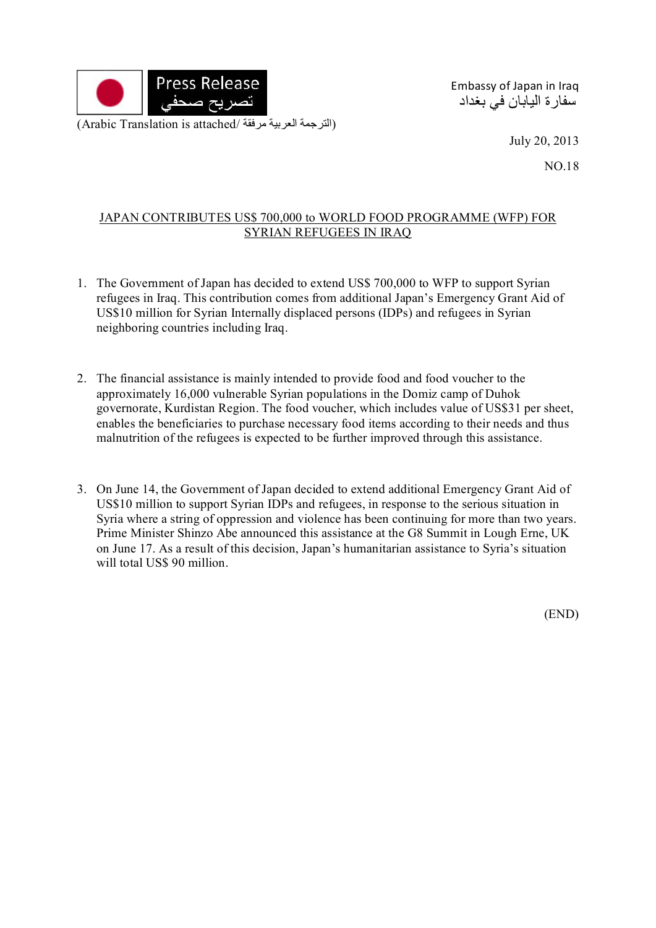

Embassy of Japan in Iraq سفارة اليابان في بغداد

July 20, 2013

NO.18

## JAPAN CONTRIBUTES US\$ 700,000 to WORLD FOOD PROGRAMME (WFP) FOR SYRIAN REFUGEES IN IRAQ

- 1. The Government of Japan has decided to extend US\$ 700,000 to WFP to support Syrian refugees in Iraq. This contribution comes from additional Japan's Emergency Grant Aid of US\$10 million for Syrian Internally displaced persons (IDPs) and refugees in Syrian neighboring countries including Iraq.
- 2. The financial assistance is mainly intended to provide food and food voucher to the approximately 16,000 vulnerable Syrian populations in the Domiz camp of Duhok governorate, Kurdistan Region. The food voucher, which includes value of US\$31 per sheet, enables the beneficiaries to purchase necessary food items according to their needs and thus malnutrition of the refugees is expected to be further improved through this assistance.
- 3. On June 14, the Government of Japan decided to extend additional Emergency Grant Aid of US\$10 million to support Syrian IDPs and refugees, in response to the serious situation in Syria where a string of oppression and violence has been continuing for more than two years. Prime Minister Shinzo Abe announced this assistance at the G8 Summit in Lough Erne, UK on June 17. As a result of this decision, Japan's humanitarian assistance to Syria's situation will total US\$ 90 million.

(END)